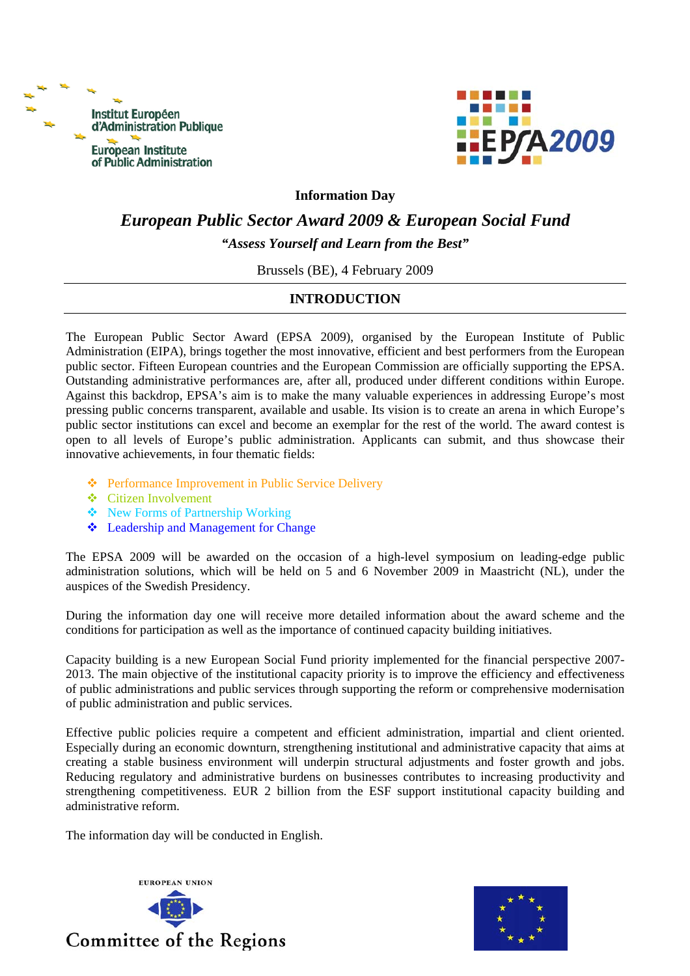



#### **Information Day**

# *European Public Sector Award 2009 & European Social Fund "Assess Yourself and Learn from the Best"*

Brussels (BE), 4 February 2009

### **INTRODUCTION**

The European Public Sector Award (EPSA 2009), organised by the European Institute of Public Administration (EIPA), brings together the most innovative, efficient and best performers from the European public sector. Fifteen European countries and the European Commission are officially supporting the EPSA. Outstanding administrative performances are, after all, produced under different conditions within Europe. Against this backdrop, EPSA's aim is to make the many valuable experiences in addressing Europe's most pressing public concerns transparent, available and usable. Its vision is to create an arena in which Europe's public sector institutions can excel and become an exemplar for the rest of the world. The award contest is open to all levels of Europe's public administration. Applicants can submit, and thus showcase their innovative achievements, in four thematic fields:

- ❖ Performance Improvement in Public Service Delivery
- Citizen Involvement
- New Forms of Partnership Working
- Leadership and Management for Change

The EPSA 2009 will be awarded on the occasion of a high-level symposium on leading-edge public administration solutions, which will be held on 5 and 6 November 2009 in Maastricht (NL), under the auspices of the Swedish Presidency.

During the information day one will receive more detailed information about the award scheme and the conditions for participation as well as the importance of continued capacity building initiatives.

Capacity building is a new European Social Fund priority implemented for the financial perspective 2007- 2013. The main objective of the institutional capacity priority is to improve the efficiency and effectiveness of public administrations and public services through supporting the reform or comprehensive modernisation of public administration and public services.

Effective public policies require a competent and efficient administration, impartial and client oriented. Especially during an economic downturn, strengthening institutional and administrative capacity that aims at creating a stable business environment will underpin structural adjustments and foster growth and jobs. Reducing regulatory and administrative burdens on businesses contributes to increasing productivity and strengthening competitiveness. EUR 2 billion from the ESF support institutional capacity building and administrative reform.

The information day will be conducted in English.